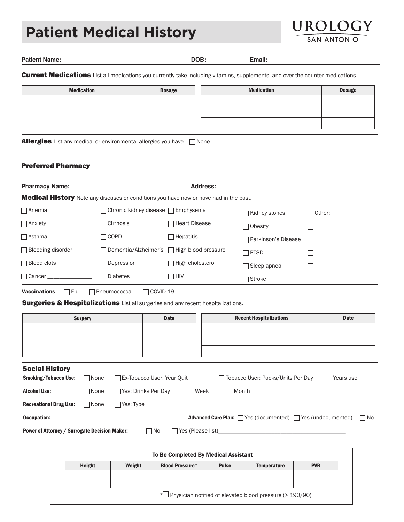# **Patient Medical History**



**Patient Name: DOB: Email:**

Current Medications List all medications you currently take including vitamins, supplements, and over-the-counter medications.

| <b>Medication</b> | <b>Dosage</b> | <b>Medication</b> | <b>Dosage</b> |
|-------------------|---------------|-------------------|---------------|
|                   |               |                   |               |
|                   |               |                   |               |
|                   |               |                   |               |
|                   |               |                   |               |

**Allergies** List any medical or environmental allergies you have.  $\Box$  None

#### Preferred Pharmacy

| <b>Pharmacy Name:</b>                                                                        | <b>Address:</b>                              |                                      |                     |              |  |
|----------------------------------------------------------------------------------------------|----------------------------------------------|--------------------------------------|---------------------|--------------|--|
| <b>Medical History</b> Note any diseases or conditions you have now or have had in the past. |                                              |                                      |                     |              |  |
| $\Box$ Anemia<br>$\Box$ Chronic kidney disease $\Box$ Emphysema                              |                                              | Kidney stones                        | $\Box$ Other:       |              |  |
| $\Box$ Anxiety                                                                               | $\sqcap$ Cirrhosis                           | □ Heart Disease ________             | $\Box$ Obesity      |              |  |
| $\Box$ Asthma                                                                                | $\sqcap$ COPD                                | $\Box$ Hepatitis $\_\_\_\_\_\_\_\_\$ | Parkinson's Disease | $\mathbf{L}$ |  |
| $\Box$ Bleeding disorder                                                                     | □ Dementia/Alzheimer's □ High blood pressure |                                      | $\Box$ PTSD         |              |  |
| $\Box$ Blood clots                                                                           | Depression                                   | $\Box$ High cholesterol              | $\Box$ Sleep apnea  | $\mathbf{L}$ |  |
| $\Box$ Cancer $\Box$                                                                         | <b>Diabetes</b>                              | $\Box$ HIV                           | □Stroke             | r.           |  |
| <b>Vaccinations</b><br>Flu<br>L.                                                             | COVID-19<br>Pneumococcal                     |                                      |                     |              |  |

**Surgeries & Hospitalizations** List all surgeries and any recent hospitalizations.

|                                                      | <b>Surgery</b> | <b>Recent Hospitalizations</b><br><b>Date</b>                                          | <b>Date</b> |
|------------------------------------------------------|----------------|----------------------------------------------------------------------------------------|-------------|
|                                                      |                |                                                                                        |             |
|                                                      |                |                                                                                        |             |
|                                                      |                |                                                                                        |             |
| <b>Social History</b>                                |                |                                                                                        |             |
| <b>Smoking/Tobacco Use:</b>                          | $\Box$ None    | □ Ex-Tobacco User: Year Quit □ □ □ □ Tobacco User: Packs/Units Per Day □ Years use □   |             |
| <b>Alcohol Use:</b>                                  | $\Box$ None    | T Yes: Drinks Per Day ________ Week _______ Month ______                               |             |
| <b>Recreational Drug Use:</b>                        | $\Box$ None    |                                                                                        |             |
| <b>Occupation:</b>                                   |                | <b>Advanced Care Plan:</b> $\Box$ Yes (documented) $\Box$ Yes (undocumented) $\Box$ No |             |
| <b>Power of Attorney / Surrogate Decision Maker:</b> |                | $\Box$ No<br>$\Box$ Yes (Please list)                                                  |             |

|        |        | To Be Completed By Medical Assistant |                                                            |                    |            |
|--------|--------|--------------------------------------|------------------------------------------------------------|--------------------|------------|
| Height | Weight | <b>Blood Pressure*</b>               | <b>Pulse</b>                                               | <b>Temperature</b> | <b>PVR</b> |
|        |        |                                      |                                                            |                    |            |
|        |        |                                      |                                                            |                    |            |
|        |        |                                      | * Physician notified of elevated blood pressure (> 190/90) |                    |            |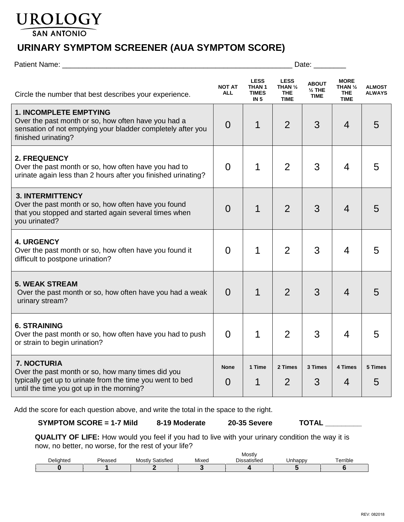# UROLOGY

**SAN ANTONIO** 

# **URINARY SYMPTOM SCREENER (AUA SYMPTOM SCORE)**

| Patient Name:                                                                                                                                                                     | Date:                         |                                                                     |                                                                |                                                  |                                                                |                                |
|-----------------------------------------------------------------------------------------------------------------------------------------------------------------------------------|-------------------------------|---------------------------------------------------------------------|----------------------------------------------------------------|--------------------------------------------------|----------------------------------------------------------------|--------------------------------|
| Circle the number that best describes your experience.                                                                                                                            | <b>NOT AT</b><br><b>ALL</b>   | <b>LESS</b><br>THAN <sub>1</sub><br><b>TIMES</b><br>IN <sub>5</sub> | <b>LESS</b><br>THAN $\frac{1}{2}$<br><b>THE</b><br><b>TIME</b> | <b>ABOUT</b><br>$\frac{1}{2}$ THE<br><b>TIME</b> | <b>MORE</b><br>THAN $\frac{1}{2}$<br><b>THE</b><br><b>TIME</b> | <b>ALMOST</b><br><b>ALWAYS</b> |
| <b>1. INCOMPLETE EMPTYING</b><br>Over the past month or so, how often have you had a<br>sensation of not emptying your bladder completely after you<br>finished urinating?        | $\overline{0}$                | 1                                                                   | $\overline{2}$                                                 | 3                                                | 4                                                              | 5                              |
| 2. FREQUENCY<br>Over the past month or so, how often have you had to<br>urinate again less than 2 hours after you finished urinating?                                             | $\Omega$                      | 1                                                                   | $\overline{2}$                                                 | 3                                                | 4                                                              | 5                              |
| <b>3. INTERMITTENCY</b><br>Over the past month or so, how often have you found<br>that you stopped and started again several times when<br>you urinated?                          | $\Omega$                      | 1                                                                   | $\overline{2}$                                                 | 3                                                | 4                                                              | 5                              |
| <b>4. URGENCY</b><br>Over the past month or so, how often have you found it<br>difficult to postpone urination?                                                                   | $\Omega$                      | 1                                                                   | $\overline{2}$                                                 | 3                                                | 4                                                              | 5                              |
| <b>5. WEAK STREAM</b><br>Over the past month or so, how often have you had a weak<br>urinary stream?                                                                              | $\Omega$                      | 1                                                                   | $\overline{2}$                                                 | 3                                                | $\overline{4}$                                                 | 5                              |
| <b>6. STRAINING</b><br>Over the past month or so, how often have you had to push<br>or strain to begin urination?                                                                 | $\overline{0}$                | 1                                                                   | $\overline{2}$                                                 | 3                                                | 4                                                              | 5                              |
| <b>7. NOCTURIA</b><br>Over the past month or so, how many times did you<br>typically get up to urinate from the time you went to bed<br>until the time you got up in the morning? | <b>None</b><br>$\overline{0}$ | 1 Time                                                              | 2 Times<br>$\overline{2}$                                      | 3 Times<br>3                                     | 4 Times<br>4                                                   | 5 Times<br>5                   |

Add the score for each question above, and write the total in the space to the right.

**SYMPTOM SCORE = 1-7 Mild 8-19 Moderate 20-35 Severe TOTAL \_\_\_\_\_\_\_\_\_**

**QUALITY OF LIFE:** How would you feel if you had to live with your urinary condition the way it is now, no better, no worse, for the rest of your life?

|           |                        | Mostly              |       |                                 |         |                                                 |
|-----------|------------------------|---------------------|-------|---------------------------------|---------|-------------------------------------------------|
| Deliahted | <b>Diagraph</b><br>556 | Satisfied<br>Mostly | Mixec | $\cdots$<br><b>Dissatisfied</b> | Jnhappy | $\overline{\phantom{0}}$<br>$\cdots$<br>errible |
|           |                        |                     |       |                                 |         |                                                 |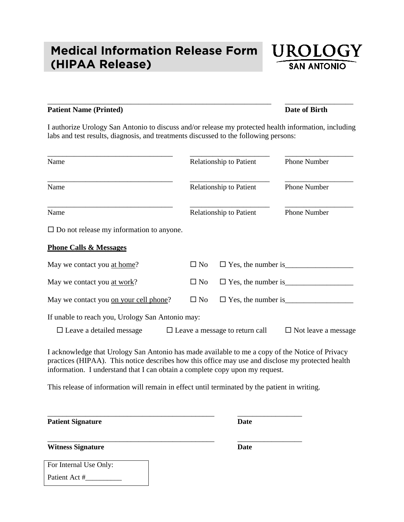# **Medical Information Release Form (HIPAA Release)**



## **Patient Name (Printed) Date of Birth**

\_\_\_\_\_\_\_\_\_\_\_\_\_\_\_\_\_\_\_\_\_\_\_\_\_\_\_\_\_\_\_\_\_\_\_\_\_\_\_\_\_\_\_\_\_\_\_\_\_\_\_\_\_\_\_\_\_\_\_ \_\_\_\_\_\_\_\_\_\_\_\_\_\_\_\_\_\_

I authorize Urology San Antonio to discuss and/or release my protected health information, including labs and test results, diagnosis, and treatments discussed to the following persons:

| Name                                                                                                                                                                                                                                                                                 | Relationship to Patient<br><b>Relationship to Patient</b><br>Relationship to Patient |                                             | Phone Number               |  |
|--------------------------------------------------------------------------------------------------------------------------------------------------------------------------------------------------------------------------------------------------------------------------------------|--------------------------------------------------------------------------------------|---------------------------------------------|----------------------------|--|
| Name                                                                                                                                                                                                                                                                                 |                                                                                      |                                             | Phone Number               |  |
| Name                                                                                                                                                                                                                                                                                 |                                                                                      |                                             | Phone Number               |  |
| $\square$ Do not release my information to anyone.                                                                                                                                                                                                                                   |                                                                                      |                                             |                            |  |
| <b>Phone Calls &amp; Messages</b>                                                                                                                                                                                                                                                    |                                                                                      |                                             |                            |  |
| May we contact you at home?                                                                                                                                                                                                                                                          | $\square$ No                                                                         |                                             |                            |  |
| May we contact you at work?                                                                                                                                                                                                                                                          | $\square$ No                                                                         |                                             |                            |  |
| May we contact you on your cell phone?                                                                                                                                                                                                                                               | $\square$ No                                                                         | $\square$ Yes, the number is $\blacksquare$ |                            |  |
| If unable to reach you, Urology San Antonio may:<br>$\Box$ Leave a detailed message                                                                                                                                                                                                  |                                                                                      | $\Box$ Leave a message to return call       | $\Box$ Not leave a message |  |
| I acknowledge that Urology San Antonio has made available to me a copy of the Notice of Privacy<br>practices (HIPAA). This notice describes how this office may use and disclose my protected health<br>information. I understand that I can obtain a complete copy upon my request. |                                                                                      |                                             |                            |  |
| This release of information will remain in effect until terminated by the patient in writing.                                                                                                                                                                                        |                                                                                      |                                             |                            |  |

\_\_\_\_\_\_\_\_\_\_\_\_\_\_\_\_\_\_\_\_\_\_\_\_\_\_\_\_\_\_\_\_\_\_\_\_\_\_\_\_\_\_\_\_ \_\_\_\_\_\_\_\_\_\_\_\_\_\_\_\_\_

\_\_\_\_\_\_\_\_\_\_\_\_\_\_\_\_\_\_\_\_\_\_\_\_\_\_\_\_\_\_\_\_\_\_\_\_\_\_\_\_\_\_\_\_ \_\_\_\_\_\_\_\_\_\_\_\_\_\_\_\_\_

**Patient Signature Date** 

**Witness Signature Date**

| For Internal Use Only: |
|------------------------|
| Patient Act #          |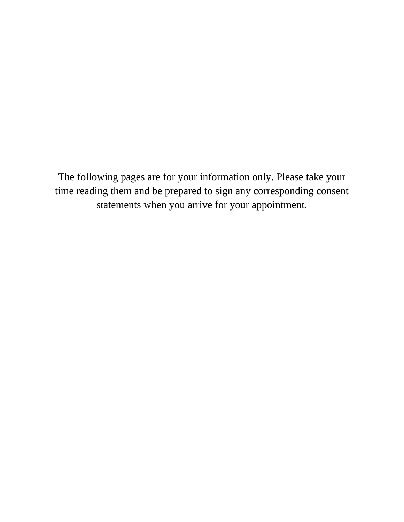The following pages are for your information only. Please take your time reading them and be prepared to sign any corresponding consent statements when you arrive for your appointment.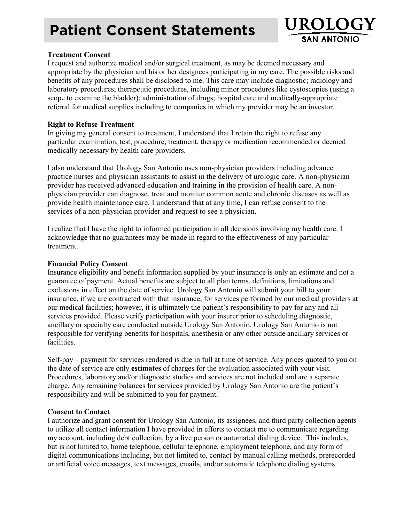# **Patient Consent Statements**



### **Treatment Consent**

I request and authorize medical and/or surgical treatment, as may be deemed necessary and appropriate by the physician and his or her designees participating in my care. The possible risks and benefits of any procedures shall be disclosed to me. This care may include diagnostic; radiology and laboratory procedures; therapeutic procedures, including minor procedures like cystoscopies (using a scope to examine the bladder); administration of drugs; hospital care and medically-appropriate referral for medical supplies including to companies in which my provider may be an investor.

### **Right to Refuse Treatment**

In giving my general consent to treatment, I understand that I retain the right to refuse any particular examination, test, procedure, treatment, therapy or medication recommended or deemed medically necessary by health care providers.

I also understand that Urology San Antonio uses non-physician providers including advance practice nurses and physician assistants to assist in the delivery of urologic care. A non-physician provider has received advanced education and training in the provision of health care. A nonphysician provider can diagnose, treat and monitor common acute and chronic diseases as well as provide health maintenance care. I understand that at any time, I can refuse consent to the services of a non-physician provider and request to see a physician.

I realize that I have the right to informed participation in all decisions involving my health care. I acknowledge that no guarantees may be made in regard to the effectiveness of any particular treatment.

### **Financial Policy Consent**

Insurance eligibility and benefit information supplied by your insurance is only an estimate and not a guarantee of payment. Actual benefits are subject to all plan terms, definitions, limitations and exclusions in effect on the date of service. Urology San Antonio will submit your bill to your insurance, if we are contracted with that insurance, for services performed by our medical providers at our medical facilities; however, it is ultimately the patient's responsibility to pay for any and all services provided. Please verify participation with your insurer prior to scheduling diagnostic, ancillary or specialty care conducted outside Urology San Antonio. Urology San Antonio is not responsible for verifying benefits for hospitals, anesthesia or any other outside ancillary services or facilities.

Self-pay – payment for services rendered is due in full at time of service. Any prices quoted to you on the date of service are only **estimates** of charges for the evaluation associated with your visit. Procedures, laboratory and/or diagnostic studies and services are not included and are a separate charge. Any remaining balances for services provided by Urology San Antonio are the patient's responsibility and will be submitted to you for payment.

## **Consent to Contact**

I authorize and grant consent for Urology San Antonio, its assignees, and third party collection agents to utilize all contact information I have provided in efforts to contact me to communicate regarding my account, including debt collection, by a live person or automated dialing device. This includes, but is not limited to, home telephone, cellular telephone, employment telephone, and any form of digital communications including, but not limited to, contact by manual calling methods, prerecorded or artificial voice messages, text messages, emails, and/or automatic telephone dialing systems.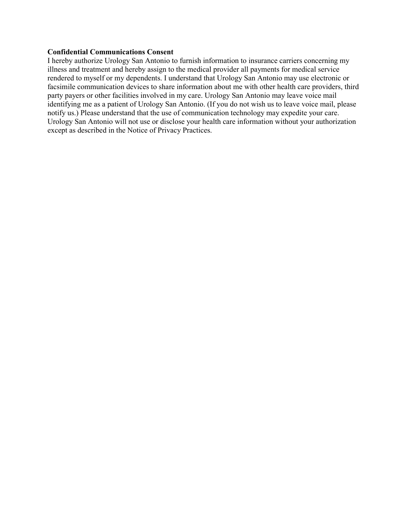#### **Confidential Communications Consent**

I hereby authorize Urology San Antonio to furnish information to insurance carriers concerning my illness and treatment and hereby assign to the medical provider all payments for medical service rendered to myself or my dependents. I understand that Urology San Antonio may use electronic or facsimile communication devices to share information about me with other health care providers, third party payers or other facilities involved in my care. Urology San Antonio may leave voice mail identifying me as a patient of Urology San Antonio. (If you do not wish us to leave voice mail, please notify us.) Please understand that the use of communication technology may expedite your care. Urology San Antonio will not use or disclose your health care information without your authorization except as described in the Notice of Privacy Practices.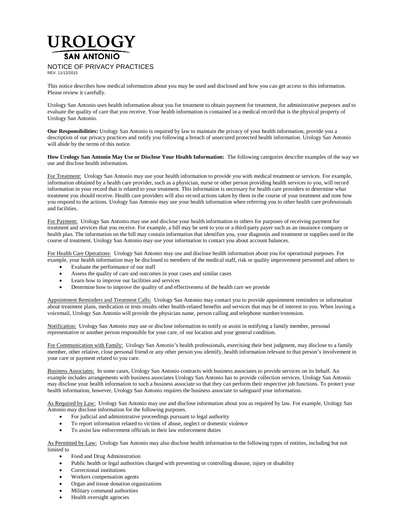# UROLOGY **SAN ANTONIO** NOTICE OF PRIVACY PRACTICES REV. 11/12/2015

This notice describes how medical information about you may be used and disclosed and how you can get access to this information. Please review it carefully.

Urology San Antonio uses health information about you for treatment to obtain payment for treatment, for administrative purposes and to evaluate the quality of care that you receive. Your health information is contained in a medical record that is the physical property of Urology San Antonio.

**Our Responsibilities:** Urology San Antonio is required by law to maintain the privacy of your health information, provide you a description of our privacy practices and notify you following a breach of unsecured protected health information. Urology San Antonio will abide by the terms of this notice.

**How Urology San Antonio May Use or Disclose Your Health Information:** The following categories describe examples of the way we use and disclose health information.

For Treatment: Urology San Antonio may use your health information to provide you with medical treatment or services. For example, information obtained by a health care provider, such as a physician, nurse or other person providing health services to you, will record information in your record that is related to your treatment. This information is necessary for health care providers to determine what treatment you should receive. Health care providers will also record actions taken by them in the course of your treatment and note how you respond to the actions. Urology San Antonio may use your health information when referring you to other health care professionals and facilities.

For Payment: Urology San Antonio may use and disclose your health information to others for purposes of receiving payment for treatment and services that you receive. For example, a bill may be sent to you or a third-party payer such as an insurance company or health plan. The information on the bill may contain information that identifies you, your diagnosis and treatment or supplies used in the course of treatment. Urology San Antonio may use your information to contact you about account balances.

For Health Care Operations: Urology San Antonio may use and disclose health information about you for operational purposes. For example, your health information may be disclosed to members of the medical staff, risk or quality improvement personnel and others to

- Evaluate the performance of our staff
- Assess the quality of care and outcomes in your cases and similar cases
- Learn how to improve our facilities and services
- Determine how to improve the quality of and effectiveness of the health care we provide

Appointment Reminders and Treatment Calls: Urology San Antonio may contact you to provide appointment reminders or information about treatment plans, medication or tests results other health-related benefits and services that may be of interest to you. When leaving a voicemail, Urology San Antonio will provide the physician name, person calling and telephone number/extension.

Notification: Urology San Antonio may use or disclose information to notify or assist in notifying a family member, personal representative or another person responsible for your care, of our location and your general condition.

For Communication with Family: Urology San Antonio's health professionals, exercising their best judgment, may disclose to a family member, other relative, close personal friend or any other person you identify, health information relevant to that person's involvement in your care or payment related to you care.

Business Associates: In some cases, Urology San Antonio contracts with business associates to provide services on its behalf. An example includes arrangements with business associates Urology San Antonio has to provide collection services. Urology San Antonio may disclose your health information to such a business associate so that they can perform their respective job functions. To protect your health information, however, Urology San Antonio requires the business associate to safeguard your information.

As Required by Law: Urology San Antonio may use and disclose information about you as required by law. For example, Urology San Antonio may disclose information for the following purposes.

- For judicial and administrative proceedings pursuant to legal authority
- To report information related to victims of abuse, neglect or domestic violence
- To assist law enforcement officials in their law enforcement duties

As Permitted by Law: Urology San Antonio may also disclose health information to the following types of entities, including but not limited to

- Food and Drug Administration
- Public health or legal authorities charged with preventing or controlling disease, injury or disability
- Correctional institutions
- Workers compensation agents
- Organ and tissue donation organizations
- Military command authorities
- Health oversight agencies